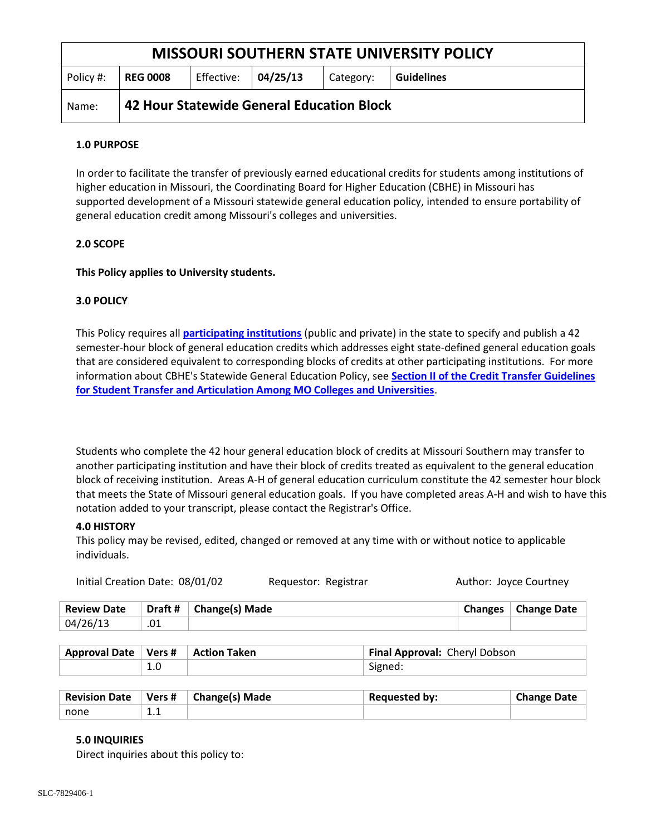| <b>MISSOURI SOUTHERN STATE UNIVERSITY POLICY</b> |                                           |                             |  |           |                   |  |
|--------------------------------------------------|-------------------------------------------|-----------------------------|--|-----------|-------------------|--|
| Policy #:                                        | <b>REG 0008</b>                           | Effective: $\vert$ 04/25/13 |  | Category: | <b>Guidelines</b> |  |
| Name:                                            | 42 Hour Statewide General Education Block |                             |  |           |                   |  |

# **1.0 PURPOSE**

In order to facilitate the transfer of previously earned educational credits for students among institutions of higher education in Missouri, the Coordinating Board for Higher Education (CBHE) in Missouri has supported development of a Missouri statewide general education policy, intended to ensure portability of general education credit among Missouri's colleges and universities.

# **2.0 SCOPE**

# **This Policy applies to University students.**

# **3.0 POLICY**

This Policy requires all **[participating institutions](http://www.dhe.mo.gov/gectinstitutions.html)** (public and private) in the state to specify and publish a 42 semester-hour block of general education credits which addresses eight state-defined general education goals that are considered equivalent to corresponding blocks of credits at other participating institutions. For more information about CBHE's Statewide General Education Policy, see **[Section II of the Credit Transfer Guidelines](http://www.dhe.mo.gov/credittransfer.html)  [for Student Transfer and Articulation Among MO Colleges and Universities](http://www.dhe.mo.gov/credittransfer.html)**.

Students who complete the 42 hour general education block of credits at Missouri Southern may transfer to another participating institution and have their block of credits treated as equivalent to the general education block of receiving institution. Areas A-H of general education curriculum constitute the 42 semester hour block that meets the State of Missouri general education goals. If you have completed areas A-H and wish to have this notation added to your transcript, please contact the Registrar's Office.

## **4.0 HISTORY**

This policy may be revised, edited, changed or removed at any time with or without notice to applicable individuals.

| Initial Creation Date: 08/01/02 |         |                       | Requestor: Registrar |  | Author: Joyce Courtney       |
|---------------------------------|---------|-----------------------|----------------------|--|------------------------------|
| <b>Review Date</b>              | Draft # | <b>Change(s) Made</b> |                      |  | <b>Changes</b>   Change Date |
| 04/26/13                        |         |                       |                      |  |                              |

| Approval Date   Vers #   Action Taken |  | Final Approval: Cheryl Dobson |  |  |
|---------------------------------------|--|-------------------------------|--|--|
|                                       |  | Signed:                       |  |  |

| <b>Revision Date</b> | Vers# | <b>Change(s) Made</b> | <b>Requested by:</b> | <b>Change Date</b> |
|----------------------|-------|-----------------------|----------------------|--------------------|
| none                 | .     |                       |                      |                    |

## **5.0 INQUIRIES**

Direct inquiries about this policy to: